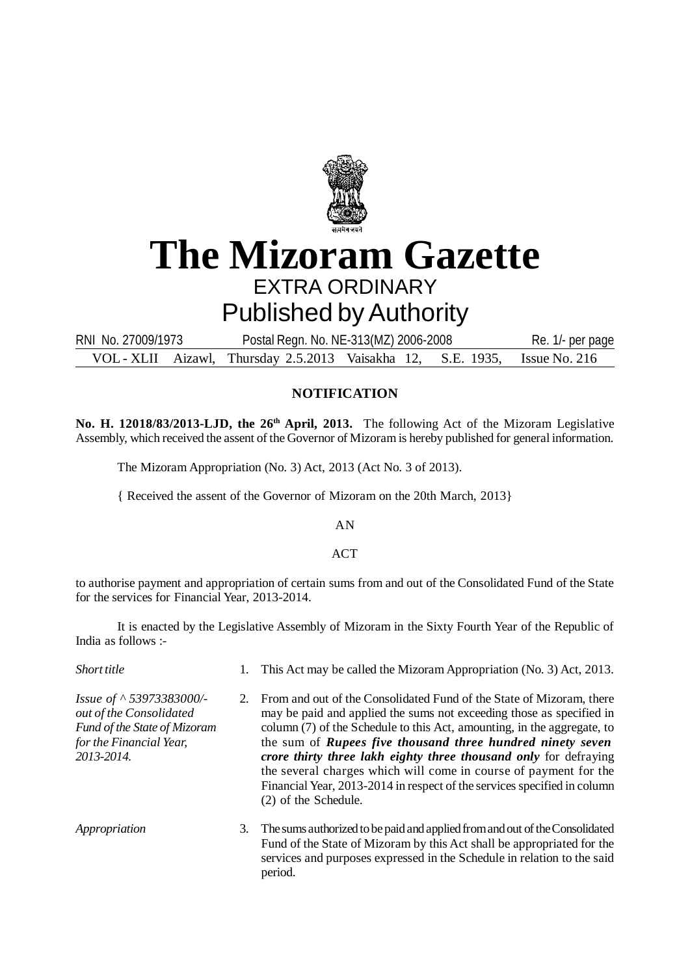

## **The Mizoram Gazette** EXTRA ORDINARY Published by Authority

VOL - XLII Aizawl, Thursday 2.5.2013 Vaisakha 12, S.E. 1935, Issue No. 216 RNI No. 27009/1973 Postal Regn. No. NE-313(MZ) 2006-2008 Re. 1/- per page

## **NOTIFICATION**

**No. H. 12018/83/2013-LJD, the 26th April, 2013.** The following Act of the Mizoram Legislative Assembly, which received the assent of the Governor of Mizoram is hereby published for general information.

The Mizoram Appropriation (No. 3) Act, 2013 (Act No. 3 of 2013).

{ Received the assent of the Governor of Mizoram on the 20th March, 2013}

AN

ACT

to authorise payment and appropriation of certain sums from and out of the Consolidated Fund of the State for the services for Financial Year, 2013-2014.

It is enacted by the Legislative Assembly of Mizoram in the Sixty Fourth Year of the Republic of India as follows :-

| Short title                                                                                                                        |    | 1. This Act may be called the Mizoram Appropriation (No. 3) Act, 2013.                                                                                                                                                                                                                                                                                                                                                                                                                                                               |
|------------------------------------------------------------------------------------------------------------------------------------|----|--------------------------------------------------------------------------------------------------------------------------------------------------------------------------------------------------------------------------------------------------------------------------------------------------------------------------------------------------------------------------------------------------------------------------------------------------------------------------------------------------------------------------------------|
| Issue of $\land$ 53973383000/-<br>out of the Consolidated<br>Fund of the State of Mizoram<br>for the Financial Year,<br>2013-2014. |    | 2. From and out of the Consolidated Fund of the State of Mizoram, there<br>may be paid and applied the sums not exceeding those as specified in<br>column (7) of the Schedule to this Act, amounting, in the aggregate, to<br>the sum of Rupees five thousand three hundred ninety seven<br>crore thirty three lakh eighty three thousand only for defraying<br>the several charges which will come in course of payment for the<br>Financial Year, 2013-2014 in respect of the services specified in column<br>(2) of the Schedule. |
| Appropriation                                                                                                                      | 3. | The sums authorized to be paid and applied from and out of the Consolidated<br>Fund of the State of Mizoram by this Act shall be appropriated for the<br>services and purposes expressed in the Schedule in relation to the said<br>period.                                                                                                                                                                                                                                                                                          |